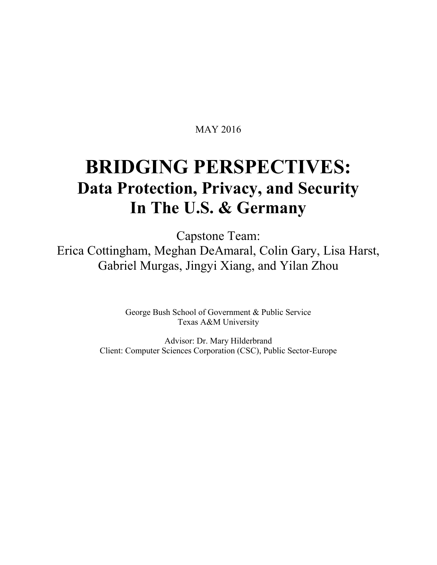# MAY 2016

# **BRIDGING PERSPECTIVES: Data Protection, Privacy, and Security In The U.S. & Germany**

Capstone Team: Erica Cottingham, Meghan DeAmaral, Colin Gary, Lisa Harst, Gabriel Murgas, Jingyi Xiang, and Yilan Zhou

> George Bush School of Government & Public Service Texas A&M University

Advisor: Dr. Mary Hilderbrand Client: Computer Sciences Corporation (CSC), Public Sector-Europe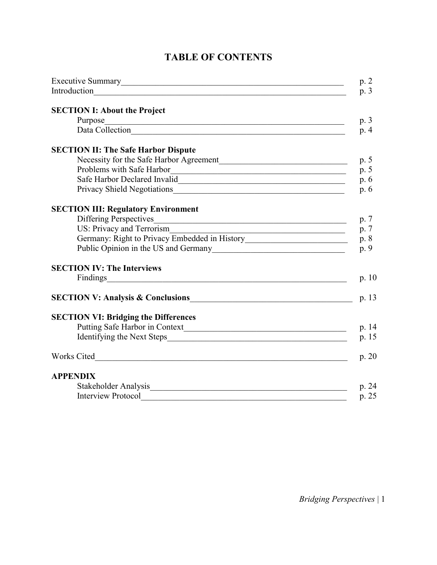| Executive Summary<br><u>Executive</u> Summary                                                                                                                                                                                        | p.2          |  |  |
|--------------------------------------------------------------------------------------------------------------------------------------------------------------------------------------------------------------------------------------|--------------|--|--|
|                                                                                                                                                                                                                                      | p. 3         |  |  |
| <b>SECTION I: About the Project</b>                                                                                                                                                                                                  |              |  |  |
| Purpose<br><u> 1989 - Johann Stoff, deutscher Stoff, der Stoff, der Stoff, der Stoff, der Stoff, der Stoff, der Stoff, der S</u>                                                                                                     | p. 3         |  |  |
| Data Collection                                                                                                                                                                                                                      | p.4          |  |  |
| <b>SECTION II: The Safe Harbor Dispute</b>                                                                                                                                                                                           |              |  |  |
|                                                                                                                                                                                                                                      |              |  |  |
| Problems with Safe Harbor                                                                                                                                                                                                            | p. 5<br>p. 5 |  |  |
|                                                                                                                                                                                                                                      | p.6          |  |  |
|                                                                                                                                                                                                                                      |              |  |  |
| <b>SECTION III: Regulatory Environment</b>                                                                                                                                                                                           |              |  |  |
| Differing Perspectives                                                                                                                                                                                                               |              |  |  |
| US: Privacy and Terrorism<br><u> 1989 - Johann Barn, mars eta bainar eta baina eta baina eta baina eta baina eta baina eta baina eta baina e</u>                                                                                     |              |  |  |
| Germany: Right to Privacy Embedded in History___________________________________                                                                                                                                                     |              |  |  |
|                                                                                                                                                                                                                                      |              |  |  |
| <b>SECTION IV: The Interviews</b>                                                                                                                                                                                                    |              |  |  |
| Findings                                                                                                                                                                                                                             |              |  |  |
|                                                                                                                                                                                                                                      |              |  |  |
| SECTION V: Analysis & Conclusions<br><u>SECTION V: Analysis &amp; Conclusions</u>                                                                                                                                                    |              |  |  |
| <b>SECTION VI: Bridging the Differences</b>                                                                                                                                                                                          |              |  |  |
|                                                                                                                                                                                                                                      |              |  |  |
|                                                                                                                                                                                                                                      |              |  |  |
| Works Cited <u>and the community of the contract of the contract of the contract of the contract of the contract of the contract of the contract of the contract of the contract of the contract of the contract of the contract</u> |              |  |  |
| <b>APPENDIX</b>                                                                                                                                                                                                                      |              |  |  |
| Stakeholder Analysis                                                                                                                                                                                                                 |              |  |  |
| <b>Interview Protocol</b>                                                                                                                                                                                                            |              |  |  |

# **TABLE OF CONTENTS**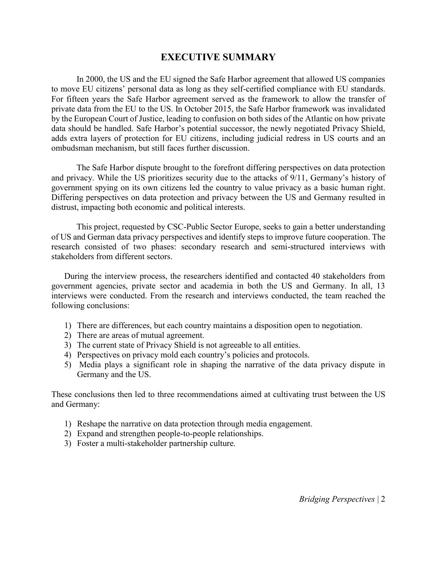## **EXECUTIVE SUMMARY**

In 2000, the US and the EU signed the Safe Harbor agreement that allowed US companies to move EU citizens' personal data as long as they self-certified compliance with EU standards. For fifteen years the Safe Harbor agreement served as the framework to allow the transfer of private data from the EU to the US. In October 2015, the Safe Harbor framework was invalidated by the European Court of Justice, leading to confusion on both sides of the Atlantic on how private data should be handled. Safe Harbor's potential successor, the newly negotiated Privacy Shield, adds extra layers of protection for EU citizens, including judicial redress in US courts and an ombudsman mechanism, but still faces further discussion.

The Safe Harbor dispute brought to the forefront differing perspectives on data protection and privacy. While the US prioritizes security due to the attacks of 9/11, Germany's history of government spying on its own citizens led the country to value privacy as a basic human right. Differing perspectives on data protection and privacy between the US and Germany resulted in distrust, impacting both economic and political interests.

This project, requested by CSC-Public Sector Europe, seeks to gain a better understanding of US and German data privacy perspectives and identify steps to improve future cooperation. The research consisted of two phases: secondary research and semi-structured interviews with stakeholders from different sectors.

During the interview process, the researchers identified and contacted 40 stakeholders from government agencies, private sector and academia in both the US and Germany. In all, 13 interviews were conducted. From the research and interviews conducted, the team reached the following conclusions:

- 1) There are differences, but each country maintains a disposition open to negotiation.
- 2) There are areas of mutual agreement.
- 3) The current state of Privacy Shield is not agreeable to all entities.
- 4) Perspectives on privacy mold each country's policies and protocols.
- 5) Media plays a significant role in shaping the narrative of the data privacy dispute in Germany and the US.

These conclusions then led to three recommendations aimed at cultivating trust between the US and Germany:

- 1) Reshape the narrative on data protection through media engagement.
- 2) Expand and strengthen people-to-people relationships.
- 3) Foster a multi-stakeholder partnership culture.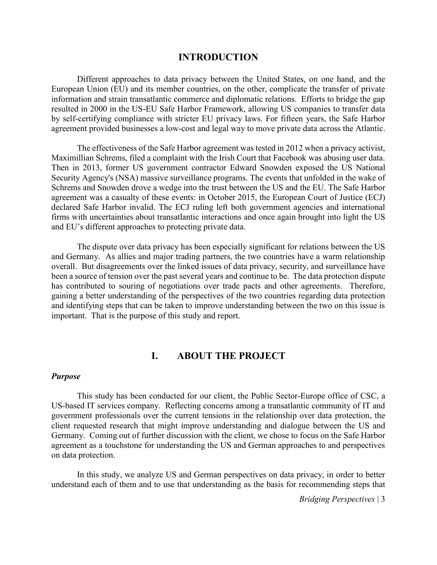#### **INTRODUCTION**

Different approaches to data privacy between the United States, on one hand, and the European Union (EU) and its member countries, on the other, complicate the transfer of private information and strain transatlantic commerce and diplomatic relations. Efforts to bridge the gap resulted in 2000 in the US-EU Safe Harbor Framework, allowing US companies to transfer data by self-certifying compliance with stricter EU privacy laws. For fifteen years, the Safe Harbor agreement provided businesses a low-cost and legal way to move private data across the Atlantic.

The effectiveness of the Safe Harbor agreement was tested in 2012 when a privacy activist, Maximillian Schrems, filed a complaint with the Irish Court that Facebook was abusing user data. Then in 2013, former US government contractor Edward Snowden exposed the US National Security Agency's (NSA) massive surveillance programs. The events that unfolded in the wake of Schrems and Snowden drove a wedge into the trust between the US and the EU. The Safe Harbor agreement was a casualty of these events: in October 2015, the European Court of Justice (ECJ) declared Safe Harbor invalid. The ECJ ruling left both government agencies and international firms with uncertainties about transatlantic interactions and once again brought into light the US and EU's different approaches to protecting private data.

The dispute over data privacy has been especially significant for relations between the US and Germany. As allies and major trading partners, the two countries have a warm relationship overall. But disagreements over the linked issues of data privacy, security, and surveillance have been a source of tension over the past several years and continue to be. The data protection dispute has contributed to souring of negotiations over trade pacts and other agreements. Therefore, gaining a better understanding of the perspectives of the two countries regarding data protection and identifying steps that can be taken to improve understanding between the two on this issue is important. That is the purpose of this study and report.

## **I. ABOUT THE PROJECT**

#### *Purpose*

This study has been conducted for our client, the Public Sector-Europe office of CSC, a US-based IT services company. Reflecting concerns among a transatlantic community of IT and government professionals over the current tensions in the relationship over data protection, the client requested research that might improve understanding and dialogue between the US and Germany. Coming out of further discussion with the client, we chose to focus on the Safe Harbor agreement as a touchstone for understanding the US and German approaches to and perspectives on data protection.

In this study, we analyze US and German perspectives on data privacy, in order to better understand each of them and to use that understanding as the basis for recommending steps that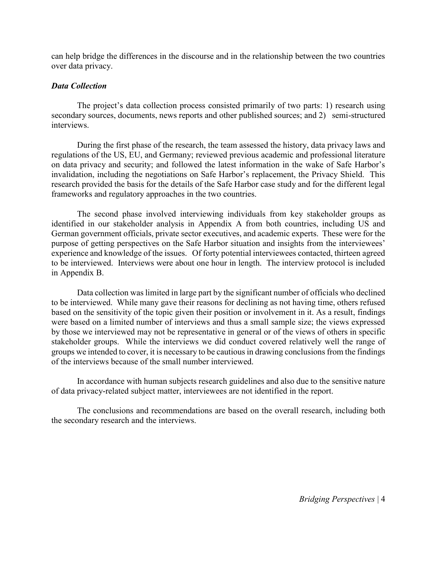can help bridge the differences in the discourse and in the relationship between the two countries over data privacy.

#### *Data Collection*

The project's data collection process consisted primarily of two parts: 1) research using secondary sources, documents, news reports and other published sources; and 2) semi-structured interviews.

During the first phase of the research, the team assessed the history, data privacy laws and regulations of the US, EU, and Germany; reviewed previous academic and professional literature on data privacy and security; and followed the latest information in the wake of Safe Harbor's invalidation, including the negotiations on Safe Harbor's replacement, the Privacy Shield. This research provided the basis for the details of the Safe Harbor case study and for the different legal frameworks and regulatory approaches in the two countries.

The second phase involved interviewing individuals from key stakeholder groups as identified in our stakeholder analysis in Appendix A from both countries, including US and German government officials, private sector executives, and academic experts. These were for the purpose of getting perspectives on the Safe Harbor situation and insights from the interviewees' experience and knowledge of the issues. Of forty potential interviewees contacted, thirteen agreed to be interviewed. Interviews were about one hour in length. The interview protocol is included in Appendix B.

Data collection was limited in large part by the significant number of officials who declined to be interviewed. While many gave their reasons for declining as not having time, others refused based on the sensitivity of the topic given their position or involvement in it. As a result, findings were based on a limited number of interviews and thus a small sample size; the views expressed by those we interviewed may not be representative in general or of the views of others in specific stakeholder groups. While the interviews we did conduct covered relatively well the range of groups we intended to cover, it is necessary to be cautious in drawing conclusions from the findings of the interviews because of the small number interviewed.

In accordance with human subjects research guidelines and also due to the sensitive nature of data privacy-related subject matter, interviewees are not identified in the report.

The conclusions and recommendations are based on the overall research, including both the secondary research and the interviews.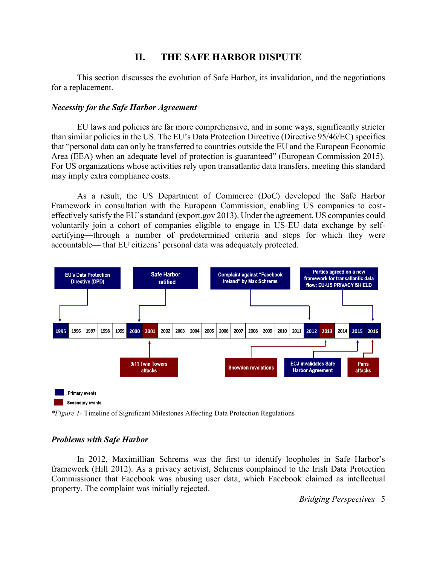# **II. THE SAFE HARBOR DISPUTE**

This section discusses the evolution of Safe Harbor, its invalidation, and the negotiations for a replacement.

#### *Necessity for the Safe Harbor Agreement*

EU laws and policies are far more comprehensive, and in some ways, significantly stricter than similar policies in the US. The EU's Data Protection Directive (Directive 95/46/EC) specifies that "personal data can only be transferred to countries outside the EU and the European Economic Area (EEA) when an adequate level of protection is guaranteed" (European Commission 2015). For US organizations whose activities rely upon transatlantic data transfers, meeting this standard may imply extra compliance costs.

As a result, the US Department of Commerce (DoC) developed the Safe Harbor Framework in consultation with the European Commission, enabling US companies to costeffectively satisfy the EU's standard (export.gov 2013). Under the agreement, US companies could voluntarily join a cohort of companies eligible to engage in US-EU data exchange by selfcertifying—through a number of predetermined criteria and steps for which they were accountable— that EU citizens' personal data was adequately protected.



Secondary events

*\*Figure 1-* Timeline of Significant Milestones Affecting Data Protection Regulations

#### *Problems with Safe Harbor*

In 2012, Maximillian Schrems was the first to identify loopholes in Safe Harbor's framework (Hill 2012). As a privacy activist, Schrems complained to the Irish Data Protection Commissioner that Facebook was abusing user data, which Facebook claimed as intellectual property. The complaint was initially rejected.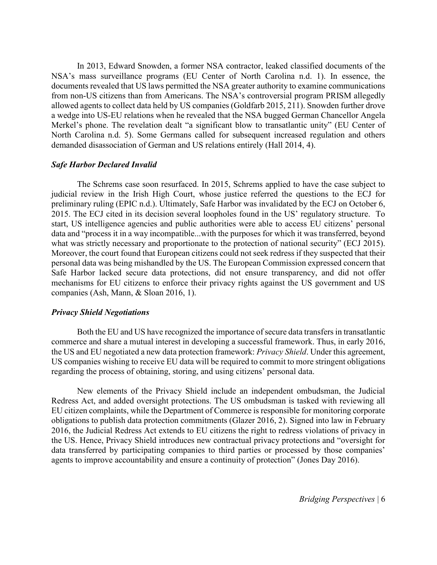In 2013, Edward Snowden, a former NSA contractor, leaked classified documents of the NSA's mass surveillance programs (EU Center of North Carolina n.d. 1). In essence, the documents revealed that US laws permitted the NSA greater authority to examine communications from non-US citizens than from Americans. The NSA's controversial program PRISM allegedly allowed agents to collect data held by US companies (Goldfarb 2015, 211). Snowden further drove a wedge into US-EU relations when he revealed that the NSA bugged German Chancellor Angela Merkel's phone. The revelation dealt "a significant blow to transatlantic unity" (EU Center of North Carolina n.d. 5). Some Germans called for subsequent increased regulation and others demanded disassociation of German and US relations entirely (Hall 2014, 4).

#### *Safe Harbor Declared Invalid*

The Schrems case soon resurfaced. In 2015, Schrems applied to have the case subject to judicial review in the Irish High Court, whose justice referred the questions to the ECJ for preliminary ruling (EPIC n.d.). Ultimately, Safe Harbor was invalidated by the ECJ on October 6, 2015. The ECJ cited in its decision several loopholes found in the US' regulatory structure. To start, US intelligence agencies and public authorities were able to access EU citizens' personal data and "process it in a way incompatible...with the purposes for which it was transferred, beyond what was strictly necessary and proportionate to the protection of national security" (ECJ 2015). Moreover, the court found that European citizens could not seek redress if they suspected that their personal data was being mishandled by the US. The European Commission expressed concern that Safe Harbor lacked secure data protections, did not ensure transparency, and did not offer mechanisms for EU citizens to enforce their privacy rights against the US government and US companies (Ash, Mann, & Sloan 2016, 1).

#### *Privacy Shield Negotiations*

Both the EU and US have recognized the importance of secure data transfers in transatlantic commerce and share a mutual interest in developing a successful framework. Thus, in early 2016, the US and EU negotiated a new data protection framework: *Privacy Shield*. Under this agreement, US companies wishing to receive EU data will be required to commit to more stringent obligations regarding the process of obtaining, storing, and using citizens' personal data.

New elements of the Privacy Shield include an independent ombudsman, the Judicial Redress Act, and added oversight protections. The US ombudsman is tasked with reviewing all EU citizen complaints, while the Department of Commerce is responsible for monitoring corporate obligations to publish data protection commitments (Glazer 2016, 2). Signed into law in February 2016, the Judicial Redress Act extends to EU citizens the right to redress violations of privacy in the US. Hence, Privacy Shield introduces new contractual privacy protections and "oversight for data transferred by participating companies to third parties or processed by those companies' agents to improve accountability and ensure a continuity of protection" (Jones Day 2016).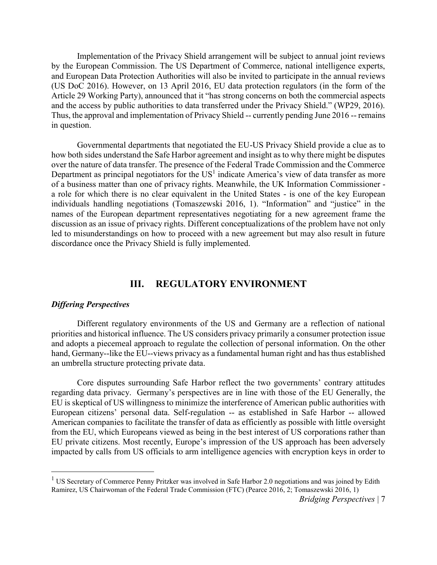Implementation of the Privacy Shield arrangement will be subject to annual joint reviews by the European Commission. The US Department of Commerce, national intelligence experts, and European Data Protection Authorities will also be invited to participate in the annual reviews (US DoC 2016). However, on 13 April 2016, EU data protection regulators (in the form of the Article 29 Working Party), announced that it "has strong concerns on both the commercial aspects and the access by public authorities to data transferred under the Privacy Shield." (WP29, 2016). Thus, the approval and implementation of Privacy Shield -- currently pending June 2016 -- remains in question.

Governmental departments that negotiated the EU-US Privacy Shield provide a clue as to how both sides understand the Safe Harbor agreement and insight as to why there might be disputes over the nature of data transfer. The presence of the Federal Trade Commission and the Commerce Department as principal negotiators for the  $US<sup>1</sup>$  indicate America's view of data transfer as more of a business matter than one of privacy rights. Meanwhile, the UK Information Commissioner a role for which there is no clear equivalent in the United States - is one of the key European individuals handling negotiations (Tomaszewski 2016, 1). "Information" and "justice" in the names of the European department representatives negotiating for a new agreement frame the discussion as an issue of privacy rights. Different conceptualizations of the problem have not only led to misunderstandings on how to proceed with a new agreement but may also result in future discordance once the Privacy Shield is fully implemented.

# **III. REGULATORY ENVIRONMENT**

#### *Differing Perspectives*

Different regulatory environments of the US and Germany are a reflection of national priorities and historical influence. The US considers privacy primarily a consumer protection issue and adopts a piecemeal approach to regulate the collection of personal information. On the other hand, Germany--like the EU--views privacy as a fundamental human right and has thus established an umbrella structure protecting private data.

Core disputes surrounding Safe Harbor reflect the two governments' contrary attitudes regarding data privacy. Germany's perspectives are in line with those of the EU Generally, the EU is skeptical of US willingness to minimize the interference of American public authorities with European citizens' personal data. Self-regulation -- as established in Safe Harbor -- allowed American companies to facilitate the transfer of data as efficiently as possible with little oversight from the EU, which Europeans viewed as being in the best interest of US corporations rather than EU private citizens. Most recently, Europe's impression of the US approach has been adversely impacted by calls from US officials to arm intelligence agencies with encryption keys in order to

<sup>&</sup>lt;sup>1</sup> US Secretary of Commerce Penny Pritzker was involved in Safe Harbor 2.0 negotiations and was joined by Edith Ramirez, US Chairwoman of the Federal Trade Commission (FTC) (Pearce 2016, 2; Tomaszewski 2016, 1)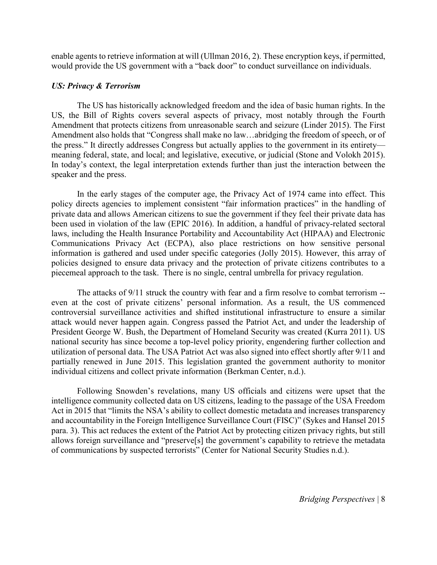enable agents to retrieve information at will (Ullman 2016, 2). These encryption keys, if permitted, would provide the US government with a "back door" to conduct surveillance on individuals.

#### *US: Privacy & Terrorism*

The US has historically acknowledged freedom and the idea of basic human rights. In the US, the Bill of Rights covers several aspects of privacy, most notably through the Fourth Amendment that protects citizens from unreasonable search and seizure (Linder 2015). The First Amendment also holds that "Congress shall make no law…abridging the freedom of speech, or of the press." It directly addresses Congress but actually applies to the government in its entirety meaning federal, state, and local; and legislative, executive, or judicial (Stone and Volokh 2015). In today's context, the legal interpretation extends further than just the interaction between the speaker and the press.

In the early stages of the computer age, the Privacy Act of 1974 came into effect. This policy directs agencies to implement consistent "fair information practices" in the handling of private data and allows American citizens to sue the government if they feel their private data has been used in violation of the law (EPIC 2016). In addition, a handful of privacy-related sectoral laws, including the Health Insurance Portability and Accountability Act (HIPAA) and Electronic Communications Privacy Act (ECPA), also place restrictions on how sensitive personal information is gathered and used under specific categories (Jolly 2015). However, this array of policies designed to ensure data privacy and the protection of private citizens contributes to a piecemeal approach to the task. There is no single, central umbrella for privacy regulation.

The attacks of 9/11 struck the country with fear and a firm resolve to combat terrorism - even at the cost of private citizens' personal information. As a result, the US commenced controversial surveillance activities and shifted institutional infrastructure to ensure a similar attack would never happen again. Congress passed the Patriot Act, and under the leadership of President George W. Bush, the Department of Homeland Security was created (Kurra 2011). US national security has since become a top-level policy priority, engendering further collection and utilization of personal data. The USA Patriot Act was also signed into effect shortly after 9/11 and partially renewed in June 2015. This legislation granted the government authority to monitor individual citizens and collect private information (Berkman Center, n.d.).

Following Snowden's revelations, many US officials and citizens were upset that the intelligence community collected data on US citizens, leading to the passage of the USA Freedom Act in 2015 that "limits the NSA's ability to collect domestic metadata and increases transparency and accountability in the Foreign Intelligence Surveillance Court (FISC)" (Sykes and Hansel 2015 para. 3). This act reduces the extent of the Patriot Act by protecting citizen privacy rights, but still allows foreign surveillance and "preserve[s] the government's capability to retrieve the metadata of communications by suspected terrorists" (Center for National Security Studies n.d.).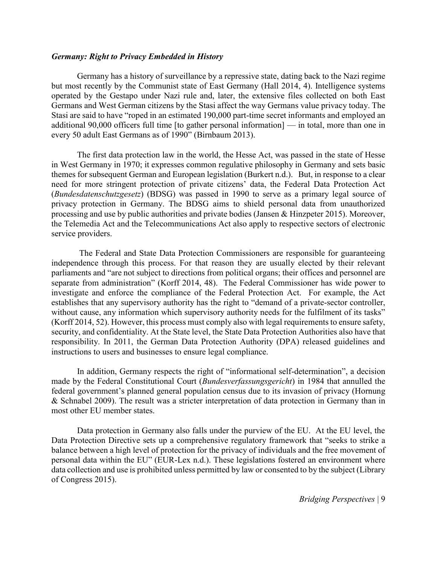#### *Germany: Right to Privacy Embedded in History*

Germany has a history of surveillance by a repressive state, dating back to the Nazi regime but most recently by the Communist state of East Germany (Hall 2014, 4). Intelligence systems operated by the Gestapo under Nazi rule and, later, the extensive files collected on both East Germans and West German citizens by the Stasi affect the way Germans value privacy today. The Stasi are said to have "roped in an estimated 190,000 part-time secret informants and employed an additional 90,000 officers full time [to gather personal information] — in total, more than one in every 50 adult East Germans as of 1990" (Birnbaum 2013).

The first data protection law in the world, the Hesse Act, was passed in the state of Hesse in West Germany in 1970; it expresses common regulative philosophy in Germany and sets basic themes for subsequent German and European legislation (Burkert n.d.). But, in response to a clear need for more stringent protection of private citizens' data, the Federal Data Protection Act (*Bundesdatenschutzgesetz*) (BDSG) was passed in 1990 to serve as a primary legal source of privacy protection in Germany. The BDSG aims to shield personal data from unauthorized processing and use by public authorities and private bodies (Jansen & Hinzpeter 2015). Moreover, the Telemedia Act and the Telecommunications Act also apply to respective sectors of electronic service providers.

The Federal and State Data Protection Commissioners are responsible for guaranteeing independence through this process. For that reason they are usually elected by their relevant parliaments and "are not subject to directions from political organs; their offices and personnel are separate from administration" (Korff 2014, 48). The Federal Commissioner has wide power to investigate and enforce the compliance of the Federal Protection Act. For example, the Act establishes that any supervisory authority has the right to "demand of a private-sector controller, without cause, any information which supervisory authority needs for the fulfilment of its tasks" (Korff 2014, 52). However, this process must comply also with legal requirements to ensure safety, security, and confidentiality. At the State level, the State Data Protection Authorities also have that responsibility. In 2011, the German Data Protection Authority (DPA) released guidelines and instructions to users and businesses to ensure legal compliance.

In addition, Germany respects the right of "informational self-determination", a decision made by the Federal Constitutional Court (*Bundesverfassungsgericht*) in 1984 that annulled the federal government's planned general population census due to its invasion of privacy (Hornung & Schnabel 2009). The result was a stricter interpretation of data protection in Germany than in most other EU member states.

Data protection in Germany also falls under the purview of the EU. At the EU level, the Data Protection Directive sets up a comprehensive regulatory framework that "seeks to strike a balance between a high level of protection for the privacy of individuals and the free movement of personal data within the EU" (EUR-Lex n.d.). These legislations fostered an environment where data collection and use is prohibited unless permitted by law or consented to by the subject (Library of Congress 2015).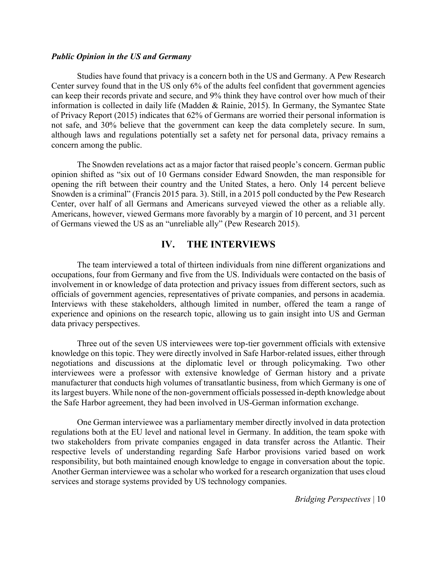#### *Public Opinion in the US and Germany*

Studies have found that privacy is a concern both in the US and Germany. A Pew Research Center survey found that in the US only 6% of the adults feel confident that government agencies can keep their records private and secure, and 9% think they have control over how much of their information is collected in daily life (Madden & Rainie, 2015). In Germany, the Symantec State of Privacy Report (2015) indicates that 62% of Germans are worried their personal information is not safe, and 30% believe that the government can keep the data completely secure. In sum, although laws and regulations potentially set a safety net for personal data, privacy remains a concern among the public.

The Snowden revelations act as a major factor that raised people's concern. German public opinion shifted as "six out of 10 Germans consider Edward Snowden, the man responsible for opening the rift between their country and the United States, a hero. Only 14 percent believe Snowden is a criminal" (Francis 2015 para. 3). Still, in a 2015 poll conducted by the Pew Research Center, over half of all Germans and Americans surveyed viewed the other as a reliable ally. Americans, however, viewed Germans more favorably by a margin of 10 percent, and 31 percent of Germans viewed the US as an "unreliable ally" (Pew Research 2015).

## **IV. THE INTERVIEWS**

The team interviewed a total of thirteen individuals from nine different organizations and occupations, four from Germany and five from the US. Individuals were contacted on the basis of involvement in or knowledge of data protection and privacy issues from different sectors, such as officials of government agencies, representatives of private companies, and persons in academia. Interviews with these stakeholders, although limited in number, offered the team a range of experience and opinions on the research topic, allowing us to gain insight into US and German data privacy perspectives.

Three out of the seven US interviewees were top-tier government officials with extensive knowledge on this topic. They were directly involved in Safe Harbor-related issues, either through negotiations and discussions at the diplomatic level or through policymaking. Two other interviewees were a professor with extensive knowledge of German history and a private manufacturer that conducts high volumes of transatlantic business, from which Germany is one of its largest buyers. While none of the non-government officials possessed in-depth knowledge about the Safe Harbor agreement, they had been involved in US-German information exchange.

One German interviewee was a parliamentary member directly involved in data protection regulations both at the EU level and national level in Germany. In addition, the team spoke with two stakeholders from private companies engaged in data transfer across the Atlantic. Their respective levels of understanding regarding Safe Harbor provisions varied based on work responsibility, but both maintained enough knowledge to engage in conversation about the topic. Another German interviewee was a scholar who worked for a research organization that uses cloud services and storage systems provided by US technology companies.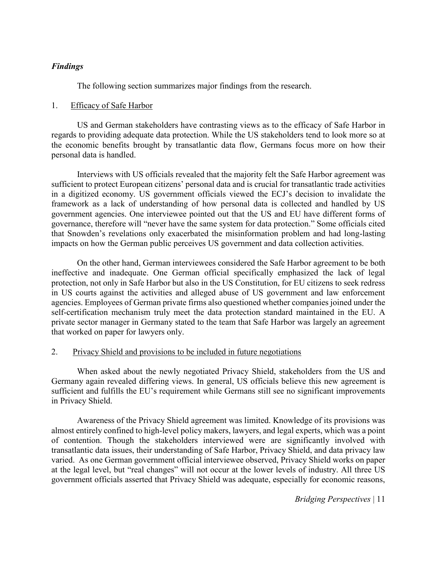#### *Findings*

The following section summarizes major findings from the research.

#### 1. Efficacy of Safe Harbor

US and German stakeholders have contrasting views as to the efficacy of Safe Harbor in regards to providing adequate data protection. While the US stakeholders tend to look more so at the economic benefits brought by transatlantic data flow, Germans focus more on how their personal data is handled.

Interviews with US officials revealed that the majority felt the Safe Harbor agreement was sufficient to protect European citizens' personal data and is crucial for transatlantic trade activities in a digitized economy. US government officials viewed the ECJ's decision to invalidate the framework as a lack of understanding of how personal data is collected and handled by US government agencies. One interviewee pointed out that the US and EU have different forms of governance, therefore will "never have the same system for data protection." Some officials cited that Snowden's revelations only exacerbated the misinformation problem and had long-lasting impacts on how the German public perceives US government and data collection activities.

On the other hand, German interviewees considered the Safe Harbor agreement to be both ineffective and inadequate. One German official specifically emphasized the lack of legal protection, not only in Safe Harbor but also in the US Constitution, for EU citizens to seek redress in US courts against the activities and alleged abuse of US government and law enforcement agencies. Employees of German private firms also questioned whether companies joined under the self-certification mechanism truly meet the data protection standard maintained in the EU. A private sector manager in Germany stated to the team that Safe Harbor was largely an agreement that worked on paper for lawyers only.

#### 2. Privacy Shield and provisions to be included in future negotiations

When asked about the newly negotiated Privacy Shield, stakeholders from the US and Germany again revealed differing views. In general, US officials believe this new agreement is sufficient and fulfills the EU's requirement while Germans still see no significant improvements in Privacy Shield.

Awareness of the Privacy Shield agreement was limited. Knowledge of its provisions was almost entirely confined to high-level policy makers, lawyers, and legal experts, which was a point of contention. Though the stakeholders interviewed were are significantly involved with transatlantic data issues, their understanding of Safe Harbor, Privacy Shield, and data privacy law varied. As one German government official interviewee observed, Privacy Shield works on paper at the legal level, but "real changes" will not occur at the lower levels of industry. All three US government officials asserted that Privacy Shield was adequate, especially for economic reasons,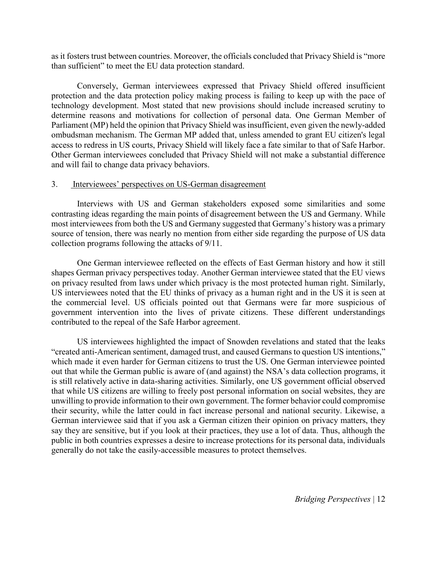as it fosters trust between countries. Moreover, the officials concluded that Privacy Shield is "more than sufficient" to meet the EU data protection standard.

Conversely, German interviewees expressed that Privacy Shield offered insufficient protection and the data protection policy making process is failing to keep up with the pace of technology development. Most stated that new provisions should include increased scrutiny to determine reasons and motivations for collection of personal data. One German Member of Parliament (MP) held the opinion that Privacy Shield was insufficient, even given the newly-added ombudsman mechanism. The German MP added that, unless amended to grant EU citizen's legal access to redress in US courts, Privacy Shield will likely face a fate similar to that of Safe Harbor. Other German interviewees concluded that Privacy Shield will not make a substantial difference and will fail to change data privacy behaviors.

#### 3. Interviewees' perspectives on US-German disagreement

Interviews with US and German stakeholders exposed some similarities and some contrasting ideas regarding the main points of disagreement between the US and Germany. While most interviewees from both the US and Germany suggested that Germany's history was a primary source of tension, there was nearly no mention from either side regarding the purpose of US data collection programs following the attacks of 9/11.

One German interviewee reflected on the effects of East German history and how it still shapes German privacy perspectives today. Another German interviewee stated that the EU views on privacy resulted from laws under which privacy is the most protected human right. Similarly, US interviewees noted that the EU thinks of privacy as a human right and in the US it is seen at the commercial level. US officials pointed out that Germans were far more suspicious of government intervention into the lives of private citizens. These different understandings contributed to the repeal of the Safe Harbor agreement.

US interviewees highlighted the impact of Snowden revelations and stated that the leaks "created anti-American sentiment, damaged trust, and caused Germans to question US intentions," which made it even harder for German citizens to trust the US. One German interviewee pointed out that while the German public is aware of (and against) the NSA's data collection programs, it is still relatively active in data-sharing activities. Similarly, one US government official observed that while US citizens are willing to freely post personal information on social websites, they are unwilling to provide information to their own government. The former behavior could compromise their security, while the latter could in fact increase personal and national security. Likewise, a German interviewee said that if you ask a German citizen their opinion on privacy matters, they say they are sensitive, but if you look at their practices, they use a lot of data. Thus, although the public in both countries expresses a desire to increase protections for its personal data, individuals generally do not take the easily-accessible measures to protect themselves.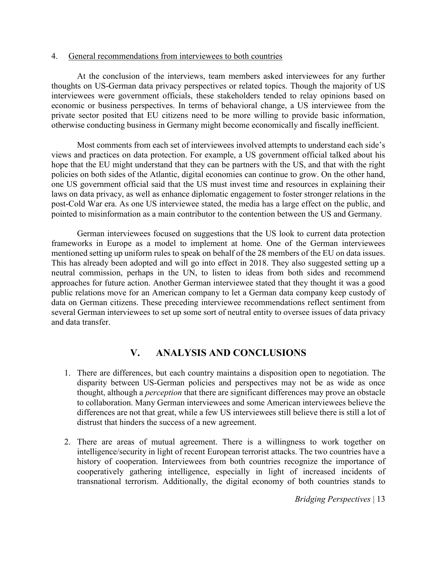#### 4. General recommendations from interviewees to both countries

At the conclusion of the interviews, team members asked interviewees for any further thoughts on US-German data privacy perspectives or related topics. Though the majority of US interviewees were government officials, these stakeholders tended to relay opinions based on economic or business perspectives. In terms of behavioral change, a US interviewee from the private sector posited that EU citizens need to be more willing to provide basic information, otherwise conducting business in Germany might become economically and fiscally inefficient.

Most comments from each set of interviewees involved attempts to understand each side's views and practices on data protection. For example, a US government official talked about his hope that the EU might understand that they can be partners with the US, and that with the right policies on both sides of the Atlantic, digital economies can continue to grow. On the other hand, one US government official said that the US must invest time and resources in explaining their laws on data privacy, as well as enhance diplomatic engagement to foster stronger relations in the post-Cold War era. As one US interviewee stated, the media has a large effect on the public, and pointed to misinformation as a main contributor to the contention between the US and Germany.

German interviewees focused on suggestions that the US look to current data protection frameworks in Europe as a model to implement at home. One of the German interviewees mentioned setting up uniform rules to speak on behalf of the 28 members of the EU on data issues. This has already been adopted and will go into effect in 2018. They also suggested setting up a neutral commission, perhaps in the UN, to listen to ideas from both sides and recommend approaches for future action. Another German interviewee stated that they thought it was a good public relations move for an American company to let a German data company keep custody of data on German citizens. These preceding interviewee recommendations reflect sentiment from several German interviewees to set up some sort of neutral entity to oversee issues of data privacy and data transfer.

# **V. ANALYSIS AND CONCLUSIONS**

- 1. There are differences, but each country maintains a disposition open to negotiation. The disparity between US-German policies and perspectives may not be as wide as once thought, although a *perception* that there are significant differences may prove an obstacle to collaboration. Many German interviewees and some American interviewees believe the differences are not that great, while a few US interviewees still believe there is still a lot of distrust that hinders the success of a new agreement.
- 2. There are areas of mutual agreement. There is a willingness to work together on intelligence/security in light of recent European terrorist attacks. The two countries have a history of cooperation. Interviewees from both countries recognize the importance of cooperatively gathering intelligence, especially in light of increased incidents of transnational terrorism. Additionally, the digital economy of both countries stands to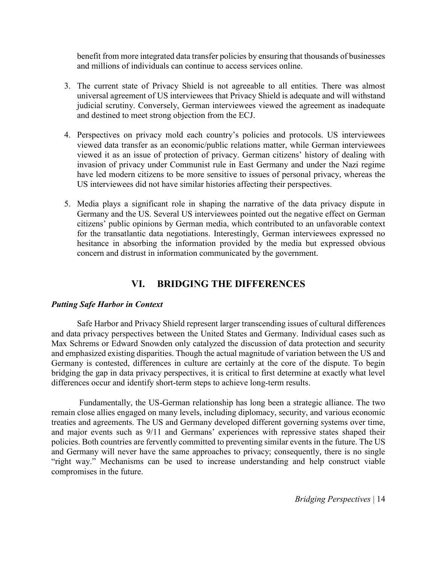benefit from more integrated data transfer policies by ensuring that thousands of businesses and millions of individuals can continue to access services online.

- 3. The current state of Privacy Shield is not agreeable to all entities. There was almost universal agreement of US interviewees that Privacy Shield is adequate and will withstand judicial scrutiny. Conversely, German interviewees viewed the agreement as inadequate and destined to meet strong objection from the ECJ.
- 4. Perspectives on privacy mold each country's policies and protocols. US interviewees viewed data transfer as an economic/public relations matter, while German interviewees viewed it as an issue of protection of privacy. German citizens' history of dealing with invasion of privacy under Communist rule in East Germany and under the Nazi regime have led modern citizens to be more sensitive to issues of personal privacy, whereas the US interviewees did not have similar histories affecting their perspectives.
- 5. Media plays a significant role in shaping the narrative of the data privacy dispute in Germany and the US. Several US interviewees pointed out the negative effect on German citizens' public opinions by German media, which contributed to an unfavorable context for the transatlantic data negotiations. Interestingly, German interviewees expressed no hesitance in absorbing the information provided by the media but expressed obvious concern and distrust in information communicated by the government.

# **VI. BRIDGING THE DIFFERENCES**

#### *Putting Safe Harbor in Context*

Safe Harbor and Privacy Shield represent larger transcending issues of cultural differences and data privacy perspectives between the United States and Germany. Individual cases such as Max Schrems or Edward Snowden only catalyzed the discussion of data protection and security and emphasized existing disparities. Though the actual magnitude of variation between the US and Germany is contested, differences in culture are certainly at the core of the dispute. To begin bridging the gap in data privacy perspectives, it is critical to first determine at exactly what level differences occur and identify short-term steps to achieve long-term results.

Fundamentally, the US-German relationship has long been a strategic alliance. The two remain close allies engaged on many levels, including diplomacy, security, and various economic treaties and agreements. The US and Germany developed different governing systems over time, and major events such as 9/11 and Germans' experiences with repressive states shaped their policies. Both countries are fervently committed to preventing similar events in the future. The US and Germany will never have the same approaches to privacy; consequently, there is no single "right way." Mechanisms can be used to increase understanding and help construct viable compromises in the future.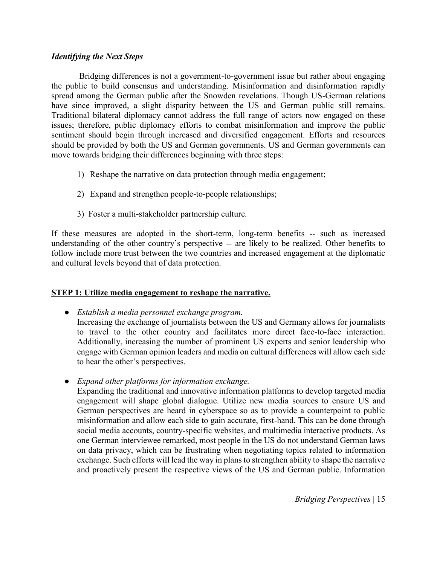#### *Identifying the Next Steps*

Bridging differences is not a government-to-government issue but rather about engaging the public to build consensus and understanding. Misinformation and disinformation rapidly spread among the German public after the Snowden revelations. Though US-German relations have since improved, a slight disparity between the US and German public still remains. Traditional bilateral diplomacy cannot address the full range of actors now engaged on these issues; therefore, public diplomacy efforts to combat misinformation and improve the public sentiment should begin through increased and diversified engagement. Efforts and resources should be provided by both the US and German governments. US and German governments can move towards bridging their differences beginning with three steps:

- 1) Reshape the narrative on data protection through media engagement;
- 2) Expand and strengthen people-to-people relationships;
- 3) Foster a multi-stakeholder partnership culture.

If these measures are adopted in the short-term, long-term benefits -- such as increased understanding of the other country's perspective -- are likely to be realized. Other benefits to follow include more trust between the two countries and increased engagement at the diplomatic and cultural levels beyond that of data protection.

### **STEP 1: Utilize media engagement to reshape the narrative.**

● *Establish a media personnel exchange program.*

Increasing the exchange of journalists between the US and Germany allows for journalists to travel to the other country and facilitates more direct face-to-face interaction. Additionally, increasing the number of prominent US experts and senior leadership who engage with German opinion leaders and media on cultural differences will allow each side to hear the other's perspectives.

● *Expand other platforms for information exchange.* 

Expanding the traditional and innovative information platforms to develop targeted media engagement will shape global dialogue. Utilize new media sources to ensure US and German perspectives are heard in cyberspace so as to provide a counterpoint to public misinformation and allow each side to gain accurate, first-hand. This can be done through social media accounts, country-specific websites, and multimedia interactive products. As one German interviewee remarked, most people in the US do not understand German laws on data privacy, which can be frustrating when negotiating topics related to information exchange. Such efforts will lead the way in plans to strengthen ability to shape the narrative and proactively present the respective views of the US and German public. Information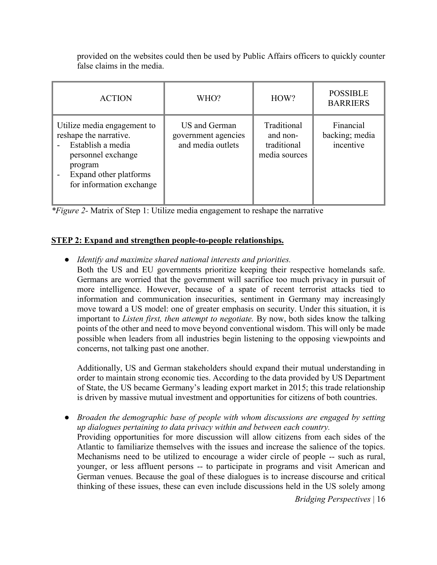| <b>ACTION</b>                                                                                                                                                     | WHO?                                                      | HOW?                                                    | <b>POSSIBLE</b><br><b>BARRIERS</b>       |
|-------------------------------------------------------------------------------------------------------------------------------------------------------------------|-----------------------------------------------------------|---------------------------------------------------------|------------------------------------------|
| Utilize media engagement to<br>reshape the narrative.<br>Establish a media<br>personnel exchange<br>program<br>Expand other platforms<br>for information exchange | US and German<br>government agencies<br>and media outlets | Traditional<br>and non-<br>traditional<br>media sources | Financial<br>backing; media<br>incentive |

provided on the websites could then be used by Public Affairs officers to quickly counter false claims in the media.

*\*Figure 2-* Matrix of Step 1: Utilize media engagement to reshape the narrative

# **STEP 2: Expand and strengthen people-to-people relationships.**

- *Identify and maximize shared national interests and priorities.*
	- Both the US and EU governments prioritize keeping their respective homelands safe. Germans are worried that the government will sacrifice too much privacy in pursuit of more intelligence. However, because of a spate of recent terrorist attacks tied to information and communication insecurities, sentiment in Germany may increasingly move toward a US model: one of greater emphasis on security. Under this situation, it is important to *Listen first, then attempt to negotiate.* By now, both sides know the talking points of the other and need to move beyond conventional wisdom. This will only be made possible when leaders from all industries begin listening to the opposing viewpoints and concerns, not talking past one another.

Additionally, US and German stakeholders should expand their mutual understanding in order to maintain strong economic ties. According to the data provided by US Department of State, the US became Germany's leading export market in 2015; this trade relationship is driven by massive mutual investment and opportunities for citizens of both countries.

● *Broaden the demographic base of people with whom discussions are engaged by setting up dialogues pertaining to data privacy within and between each country.*  Providing opportunities for more discussion will allow citizens from each sides of the Atlantic to familiarize themselves with the issues and increase the salience of the topics. Mechanisms need to be utilized to encourage a wider circle of people -- such as rural, younger, or less affluent persons -- to participate in programs and visit American and German venues. Because the goal of these dialogues is to increase discourse and critical thinking of these issues, these can even include discussions held in the US solely among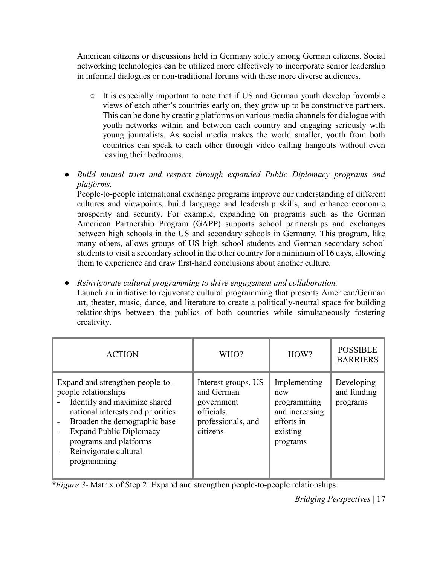American citizens or discussions held in Germany solely among German citizens. Social networking technologies can be utilized more effectively to incorporate senior leadership in informal dialogues or non-traditional forums with these more diverse audiences.

- It is especially important to note that if US and German youth develop favorable views of each other's countries early on, they grow up to be constructive partners. This can be done by creating platforms on various media channels for dialogue with youth networks within and between each country and engaging seriously with young journalists. As social media makes the world smaller, youth from both countries can speak to each other through video calling hangouts without even leaving their bedrooms.
- *Build mutual trust and respect through expanded Public Diplomacy programs and platforms.*

People-to-people international exchange programs improve our understanding of different cultures and viewpoints, build language and leadership skills, and enhance economic prosperity and security. For example, expanding on programs such as the German American Partnership Program (GAPP) supports school partnerships and exchanges between high schools in the US and secondary schools in Germany. This program, like many others, allows groups of US high school students and German secondary school students to visit a secondary school in the other country for a minimum of 16 days, allowing them to experience and draw first-hand conclusions about another culture.

● *Reinvigorate cultural programming to drive engagement and collaboration.* Launch an initiative to rejuvenate cultural programming that presents American/German art, theater, music, dance, and literature to create a politically-neutral space for building relationships between the publics of both countries while simultaneously fostering creativity.

| <b>ACTION</b>                                                                                                                                                                                                                                                     | WHO?                                                                                            | HOW?                                                                                       | <b>POSSIBLE</b><br><b>BARRIERS</b>    |
|-------------------------------------------------------------------------------------------------------------------------------------------------------------------------------------------------------------------------------------------------------------------|-------------------------------------------------------------------------------------------------|--------------------------------------------------------------------------------------------|---------------------------------------|
| Expand and strengthen people-to-<br>people relationships<br>Identify and maximize shared<br>national interests and priorities<br>Broaden the demographic base<br><b>Expand Public Diplomacy</b><br>programs and platforms<br>Reinvigorate cultural<br>programming | Interest groups, US<br>and German<br>government<br>officials,<br>professionals, and<br>citizens | Implementing<br>new<br>programming<br>and increasing<br>efforts in<br>existing<br>programs | Developing<br>and funding<br>programs |

*\*Figure 3-* Matrix of Step 2: Expand and strengthen people-to-people relationships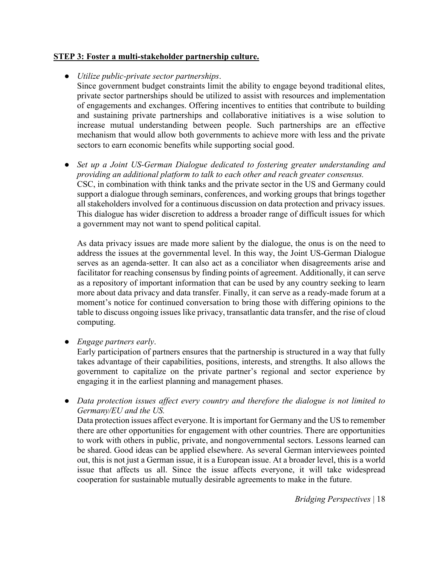#### **STEP 3: Foster a multi-stakeholder partnership culture.**

#### ● *Utilize public-private sector partnerships*.

Since government budget constraints limit the ability to engage beyond traditional elites, private sector partnerships should be utilized to assist with resources and implementation of engagements and exchanges. Offering incentives to entities that contribute to building and sustaining private partnerships and collaborative initiatives is a wise solution to increase mutual understanding between people. Such partnerships are an effective mechanism that would allow both governments to achieve more with less and the private sectors to earn economic benefits while supporting social good.

● *Set up a Joint US-German Dialogue dedicated to fostering greater understanding and providing an additional platform to talk to each other and reach greater consensus.*  CSC, in combination with think tanks and the private sector in the US and Germany could support a dialogue through seminars, conferences, and working groups that brings together all stakeholders involved for a continuous discussion on data protection and privacy issues. This dialogue has wider discretion to address a broader range of difficult issues for which a government may not want to spend political capital.

As data privacy issues are made more salient by the dialogue, the onus is on the need to address the issues at the governmental level. In this way, the Joint US-German Dialogue serves as an agenda-setter. It can also act as a conciliator when disagreements arise and facilitator for reaching consensus by finding points of agreement. Additionally, it can serve as a repository of important information that can be used by any country seeking to learn more about data privacy and data transfer. Finally, it can serve as a ready-made forum at a moment's notice for continued conversation to bring those with differing opinions to the table to discuss ongoing issues like privacy, transatlantic data transfer, and the rise of cloud computing.

● *Engage partners early*.

Early participation of partners ensures that the partnership is structured in a way that fully takes advantage of their capabilities, positions, interests, and strengths. It also allows the government to capitalize on the private partner's regional and sector experience by engaging it in the earliest planning and management phases.

● *Data protection issues affect every country and therefore the dialogue is not limited to Germany/EU and the US.* 

Data protection issues affect everyone. It is important for Germany and the US to remember there are other opportunities for engagement with other countries. There are opportunities to work with others in public, private, and nongovernmental sectors. Lessons learned can be shared. Good ideas can be applied elsewhere. As several German interviewees pointed out, this is not just a German issue, it is a European issue. At a broader level, this is a world issue that affects us all. Since the issue affects everyone, it will take widespread cooperation for sustainable mutually desirable agreements to make in the future.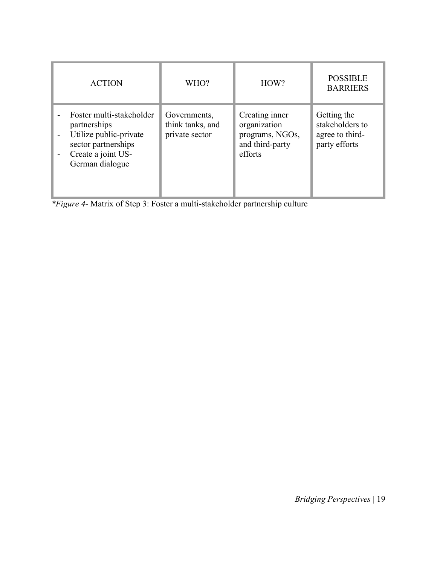| <b>ACTION</b>                                                                                                                                                  | WHO?                                               | HOW?                                                                            | <b>POSSIBLE</b><br><b>BARRIERS</b>                                 |
|----------------------------------------------------------------------------------------------------------------------------------------------------------------|----------------------------------------------------|---------------------------------------------------------------------------------|--------------------------------------------------------------------|
| Foster multi-stakeholder<br>partnerships<br>Utilize public-private<br>$\overline{\phantom{a}}$<br>sector partnerships<br>Create a joint US-<br>German dialogue | Governments,<br>think tanks, and<br>private sector | Creating inner<br>organization<br>programs, NGOs,<br>and third-party<br>efforts | Getting the<br>stakeholders to<br>agree to third-<br>party efforts |

*\*Figure 4-* Matrix of Step 3: Foster a multi-stakeholder partnership culture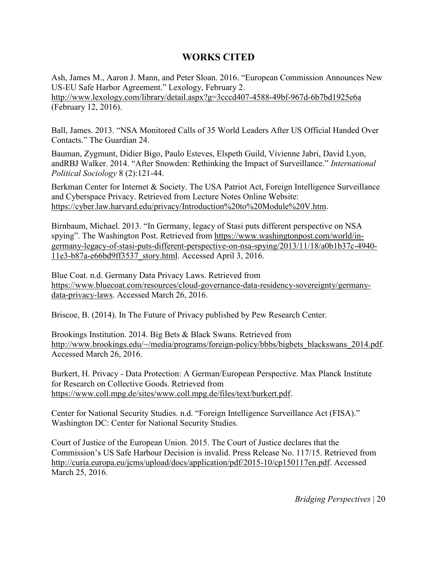# **WORKS CITED**

Ash, James M., Aaron J. Mann, and Peter Sloan. 2016. "European Commission Announces New US-EU Safe Harbor Agreement." Lexology, February 2. http://www.lexology.com/library/detail.aspx?g=3cccd407-4588-49bf-967d-6b7bd1925e6a (February 12, 2016).

Ball, James. 2013. "NSA Monitored Calls of 35 World Leaders After US Official Handed Over Contacts." The Guardian 24.

Bauman, Zygmunt, Didier Bigo, Paulo Esteves, Elspeth Guild, Vivienne Jabri, David Lyon, andRBJ Walker. 2014. "After Snowden: Rethinking the Impact of Surveillance." *International Political Sociology* 8 (2):121-44.

Berkman Center for Internet & Society. The USA Patriot Act, Foreign Intelligence Surveillance and Cyberspace Privacy. Retrieved from Lecture Notes Online Website: https://cyber.law.harvard.edu/privacy/Introduction%20to%20Module%20V.htm.

Birnbaum, Michael. 2013. "In Germany, legacy of Stasi puts different perspective on NSA spying". The Washington Post. Retrieved from https://www.washingtonpost.com/world/ingermany-legacy-of-stasi-puts-different-perspective-on-nsa-spying/2013/11/18/a0b1b37c-4940- 11e3-b87a-e66bd9ff3537\_story.html. Accessed April 3, 2016.

Blue Coat. n.d. Germany Data Privacy Laws. Retrieved from https://www.bluecoat.com/resources/cloud-governance-data-residency-sovereignty/germanydata-privacy-laws. Accessed March 26, 2016.

Briscoe, B. (2014). In The Future of Privacy published by Pew Research Center.

Brookings Institution. 2014. Big Bets & Black Swans. Retrieved from http://www.brookings.edu/~/media/programs/foreign-policy/bbbs/bigbets\_blackswans\_2014.pdf. Accessed March 26, 2016.

Burkert, H. Privacy - Data Protection: A German/European Perspective. Max Planck Institute for Research on Collective Goods. Retrieved from https://www.coll.mpg.de/sites/www.coll.mpg.de/files/text/burkert.pdf.

Center for National Security Studies. n.d. "Foreign Intelligence Surveillance Act (FISA)." Washington DC: Center for National Security Studies.

Court of Justice of the European Union. 2015. The Court of Justice declares that the Commission's US Safe Harbour Decision is invalid. Press Release No. 117/15. Retrieved from http://curia.europa.eu/jcms/upload/docs/application/pdf/2015-10/cp150117en.pdf. Accessed March 25, 2016.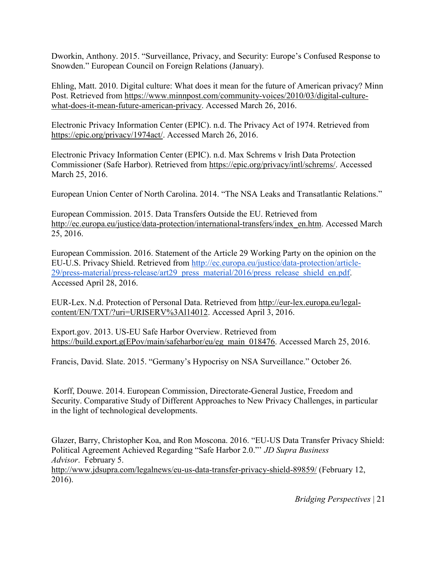Dworkin, Anthony. 2015. "Surveillance, Privacy, and Security: Europe's Confused Response to Snowden." European Council on Foreign Relations (January).

Ehling, Matt. 2010. Digital culture: What does it mean for the future of American privacy? Minn Post. Retrieved from https://www.minnpost.com/community-voices/2010/03/digital-culturewhat-does-it-mean-future-american-privacy. Accessed March 26, 2016.

Electronic Privacy Information Center (EPIC). n.d. The Privacy Act of 1974. Retrieved from https://epic.org/privacy/1974act/. Accessed March 26, 2016.

Electronic Privacy Information Center (EPIC). n.d. Max Schrems v Irish Data Protection Commissioner (Safe Harbor). Retrieved from https://epic.org/privacy/intl/schrems/. Accessed March 25, 2016.

European Union Center of North Carolina. 2014. "The NSA Leaks and Transatlantic Relations."

European Commission. 2015. Data Transfers Outside the EU. Retrieved from http://ec.europa.eu/justice/data-protection/international-transfers/index\_en.htm. Accessed March 25, 2016.

European Commission. 2016. Statement of the Article 29 Working Party on the opinion on the EU-U.S. Privacy Shield. Retrieved from http://ec.europa.eu/justice/data-protection/article-29/press-material/press-release/art29\_press\_material/2016/press\_release\_shield\_en.pdf. Accessed April 28, 2016.

EUR-Lex. N.d. Protection of Personal Data. Retrieved from http://eur-lex.europa.eu/legalcontent/EN/TXT/?uri=URISERV%3Al14012. Accessed April 3, 2016.

Export.gov. 2013. US-EU Safe Harbor Overview. Retrieved from https://build.export.g(EPov/main/safeharbor/eu/eg\_main\_018476. Accessed March 25, 2016.

Francis, David. Slate. 2015. "Germany's Hypocrisy on NSA Surveillance." October 26.

 Korff, Douwe. 2014. European Commission, Directorate-General Justice, Freedom and Security. Comparative Study of Different Approaches to New Privacy Challenges, in particular in the light of technological developments.

Glazer, Barry, Christopher Koa, and Ron Moscona. 2016. "EU-US Data Transfer Privacy Shield: Political Agreement Achieved Regarding "Safe Harbor 2.0."' *JD Supra Business Advisor*. February 5. http://www.jdsupra.com/legalnews/eu-us-data-transfer-privacy-shield-89859/ (February 12, 2016).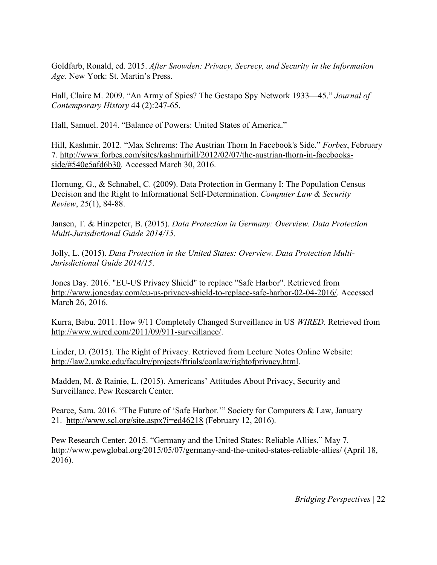Goldfarb, Ronald, ed. 2015. *After Snowden: Privacy, Secrecy, and Security in the Information Age*. New York: St. Martin's Press.

Hall, Claire M. 2009. "An Army of Spies? The Gestapo Spy Network 1933—45." *Journal of Contemporary History* 44 (2):247-65.

Hall, Samuel. 2014. "Balance of Powers: United States of America."

Hill, Kashmir. 2012. "Max Schrems: The Austrian Thorn In Facebook's Side." *Forbes*, February 7. http://www.forbes.com/sites/kashmirhill/2012/02/07/the-austrian-thorn-in-facebooksside/#540e5afd6b30. Accessed March 30, 2016.

Hornung, G., & Schnabel, C. (2009). Data Protection in Germany I: The Population Census Decision and the Right to Informational Self-Determination. *Computer Law & Security Review*, 25(1), 84-88.

Jansen, T. & Hinzpeter, B. (2015). *Data Protection in Germany: Overview. Data Protection Multi-Jurisdictional Guide 2014/15*.

Jolly, L. (2015). *Data Protection in the United States: Overview. Data Protection Multi-Jurisdictional Guide 2014/15*.

Jones Day. 2016. "EU-US Privacy Shield" to replace "Safe Harbor". Retrieved from http://www.jonesday.com/eu-us-privacy-shield-to-replace-safe-harbor-02-04-2016/. Accessed March 26, 2016.

Kurra, Babu. 2011. How 9/11 Completely Changed Surveillance in US *WIRED*. Retrieved from http://www.wired.com/2011/09/911-surveillance/.

Linder, D. (2015). The Right of Privacy. Retrieved from Lecture Notes Online Website: http://law2.umkc.edu/faculty/projects/ftrials/conlaw/rightofprivacy.html.

Madden, M. & Rainie, L. (2015). Americans' Attitudes About Privacy, Security and Surveillance. Pew Research Center.

Pearce, Sara. 2016. "The Future of 'Safe Harbor.'" Society for Computers & Law, January 21. http://www.scl.org/site.aspx?i=ed46218 (February 12, 2016).

Pew Research Center. 2015. "Germany and the United States: Reliable Allies." May 7. http://www.pewglobal.org/2015/05/07/germany-and-the-united-states-reliable-allies/ (April 18, 2016).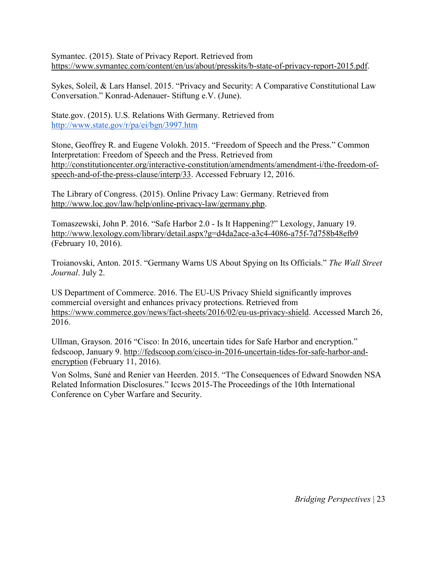Symantec. (2015). State of Privacy Report. Retrieved from https://www.symantec.com/content/en/us/about/presskits/b-state-of-privacy-report-2015.pdf.

Sykes, Soleil, & Lars Hansel. 2015. "Privacy and Security: A Comparative Constitutional Law Conversation." Konrad-Adenauer- Stiftung e.V. (June).

State.gov. (2015). U.S. Relations With Germany. Retrieved from http://www.state.gov/r/pa/ei/bgn/3997.htm

Stone, Geoffrey R. and Eugene Volokh. 2015. "Freedom of Speech and the Press." Common Interpretation: Freedom of Speech and the Press. Retrieved from http://constitutioncenter.org/interactive-constitution/amendments/amendment-i/the-freedom-ofspeech-and-of-the-press-clause/interp/33. Accessed February 12, 2016.

The Library of Congress. (2015). Online Privacy Law: Germany. Retrieved from http://www.loc.gov/law/help/online-privacy-law/germany.php.

Tomaszewski, John P. 2016. "Safe Harbor 2.0 - Is It Happening?" Lexology, January 19. http://www.lexology.com/library/detail.aspx?g=d4da2ace-a3c4-4086-a75f-7d758b48efb9 (February 10, 2016).

Troianovski, Anton. 2015. "Germany Warns US About Spying on Its Officials." *The Wall Street Journal*. July 2.

US Department of Commerce. 2016. The EU-US Privacy Shield significantly improves commercial oversight and enhances privacy protections. Retrieved from https://www.commerce.gov/news/fact-sheets/2016/02/eu-us-privacy-shield. Accessed March 26, 2016.

Ullman, Grayson. 2016 "Cisco: In 2016, uncertain tides for Safe Harbor and encryption." fedscoop, January 9. http://fedscoop.com/cisco-in-2016-uncertain-tides-for-safe-harbor-andencryption (February 11, 2016).

Von Solms, Suné and Renier van Heerden. 2015. "The Consequences of Edward Snowden NSA Related Information Disclosures." Iccws 2015-The Proceedings of the 10th International Conference on Cyber Warfare and Security.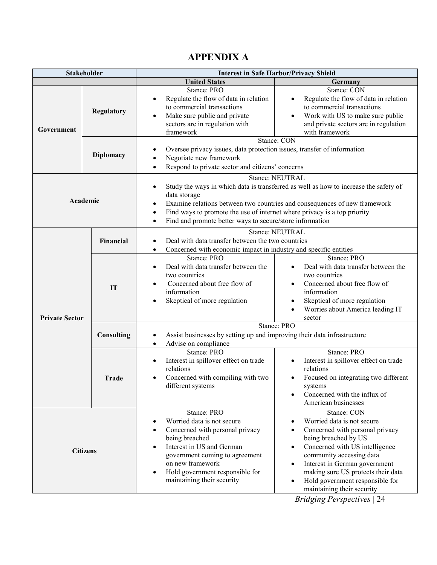|                                                                              | <b>Stakeholder</b>                                                                                                                                    | <b>Interest in Safe Harbor/Privacy Shield</b>                                                                                                                                                                                                      |                                                                                                                                                                                                                                                                                                                                                                                                          |  |
|------------------------------------------------------------------------------|-------------------------------------------------------------------------------------------------------------------------------------------------------|----------------------------------------------------------------------------------------------------------------------------------------------------------------------------------------------------------------------------------------------------|----------------------------------------------------------------------------------------------------------------------------------------------------------------------------------------------------------------------------------------------------------------------------------------------------------------------------------------------------------------------------------------------------------|--|
|                                                                              |                                                                                                                                                       | <b>United States</b>                                                                                                                                                                                                                               | Germany                                                                                                                                                                                                                                                                                                                                                                                                  |  |
| Government                                                                   | Regulatory                                                                                                                                            | Stance: PRO<br>Regulate the flow of data in relation<br>to commercial transactions<br>Make sure public and private<br>sectors are in regulation with<br>framework                                                                                  | Stance: CON<br>Regulate the flow of data in relation<br>to commercial transactions<br>Work with US to make sure public<br>and private sectors are in regulation<br>with framework                                                                                                                                                                                                                        |  |
|                                                                              | <b>Diplomacy</b>                                                                                                                                      | Oversee privacy issues, data protection issues, transfer of information<br>Negotiate new framework<br>Respond to private sector and citizens' concerns<br>$\bullet$                                                                                | Stance: CON                                                                                                                                                                                                                                                                                                                                                                                              |  |
| $\bullet$<br>data storage<br>Academic<br>$\bullet$<br>$\bullet$<br>$\bullet$ |                                                                                                                                                       | Find ways to promote the use of internet where privacy is a top priority<br>Find and promote better ways to secure/store information                                                                                                               | Stance: NEUTRAL<br>Study the ways in which data is transferred as well as how to increase the safety of<br>Examine relations between two countries and consequences of new framework                                                                                                                                                                                                                     |  |
|                                                                              | Stance: NEUTRAL<br>Deal with data transfer between the two countries<br>Financial<br>Concerned with economic impact in industry and specific entities |                                                                                                                                                                                                                                                    |                                                                                                                                                                                                                                                                                                                                                                                                          |  |
| <b>Private Sector</b>                                                        | IT                                                                                                                                                    | Stance: PRO<br>Deal with data transfer between the<br>two countries<br>Concerned about free flow of<br>information<br>Skeptical of more regulation                                                                                                 | Stance: PRO<br>Deal with data transfer between the<br>two countries<br>Concerned about free flow of<br>information<br>Skeptical of more regulation<br>Worries about America leading IT<br>sector                                                                                                                                                                                                         |  |
|                                                                              | Consulting                                                                                                                                            | Assist businesses by setting up and improving their data infrastructure<br>Advise on compliance                                                                                                                                                    | Stance: PRO                                                                                                                                                                                                                                                                                                                                                                                              |  |
|                                                                              | <b>Trade</b>                                                                                                                                          | Stance: PRO<br>Interest in spillover effect on trade<br>relations<br>Concerned with compiling with two<br>different systems                                                                                                                        | Stance: PRO<br>Interest in spillover effect on trade<br>relations<br>Focused on integrating two different<br>systems<br>Concerned with the influx of<br>American businesses                                                                                                                                                                                                                              |  |
|                                                                              | <b>Citizens</b>                                                                                                                                       | Stance: PRO<br>Worried data is not secure<br>Concerned with personal privacy<br>being breached<br>Interest in US and German<br>government coming to agreement<br>on new framework<br>Hold government responsible for<br>maintaining their security | Stance: CON<br>Worried data is not secure<br>Concerned with personal privacy<br>$\bullet$<br>being breached by US<br>Concerned with US intelligence<br>$\bullet$<br>community accessing data<br>Interest in German government<br>$\bullet$<br>making sure US protects their data<br>Hold government responsible for<br>$\bullet$<br>maintaining their security<br>$D_{ij}$ ; doing $D_{ij}$ and a stince |  |

# **APPENDIX A**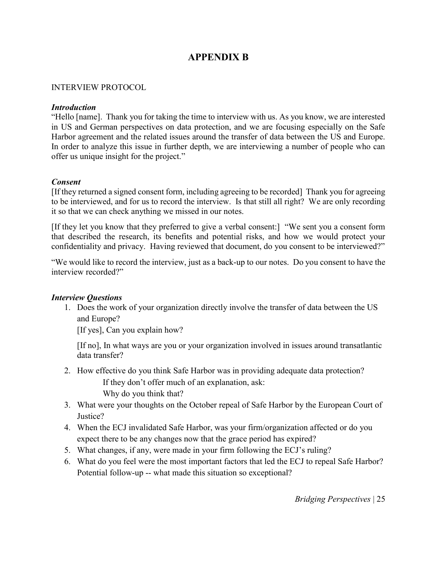# **APPENDIX B**

#### INTERVIEW PROTOCOL

#### *Introduction*

"Hello [name]. Thank you for taking the time to interview with us. As you know, we are interested in US and German perspectives on data protection, and we are focusing especially on the Safe Harbor agreement and the related issues around the transfer of data between the US and Europe. In order to analyze this issue in further depth, we are interviewing a number of people who can offer us unique insight for the project."

#### *Consent*

[If they returned a signed consent form, including agreeing to be recorded] Thank you for agreeing to be interviewed, and for us to record the interview. Is that still all right? We are only recording it so that we can check anything we missed in our notes.

[If they let you know that they preferred to give a verbal consent:] "We sent you a consent form that described the research, its benefits and potential risks, and how we would protect your confidentiality and privacy. Having reviewed that document, do you consent to be interviewed?"

"We would like to record the interview, just as a back-up to our notes. Do you consent to have the interview recorded?"

#### *Interview Questions*

1. Does the work of your organization directly involve the transfer of data between the US and Europe?

[If yes], Can you explain how?

[If no], In what ways are you or your organization involved in issues around transatlantic data transfer?

- 2. How effective do you think Safe Harbor was in providing adequate data protection? If they don't offer much of an explanation, ask: Why do you think that?
- 3. What were your thoughts on the October repeal of Safe Harbor by the European Court of Justice?
- 4. When the ECJ invalidated Safe Harbor, was your firm/organization affected or do you expect there to be any changes now that the grace period has expired?
- 5. What changes, if any, were made in your firm following the ECJ's ruling?
- 6. What do you feel were the most important factors that led the ECJ to repeal Safe Harbor? Potential follow-up -- what made this situation so exceptional?